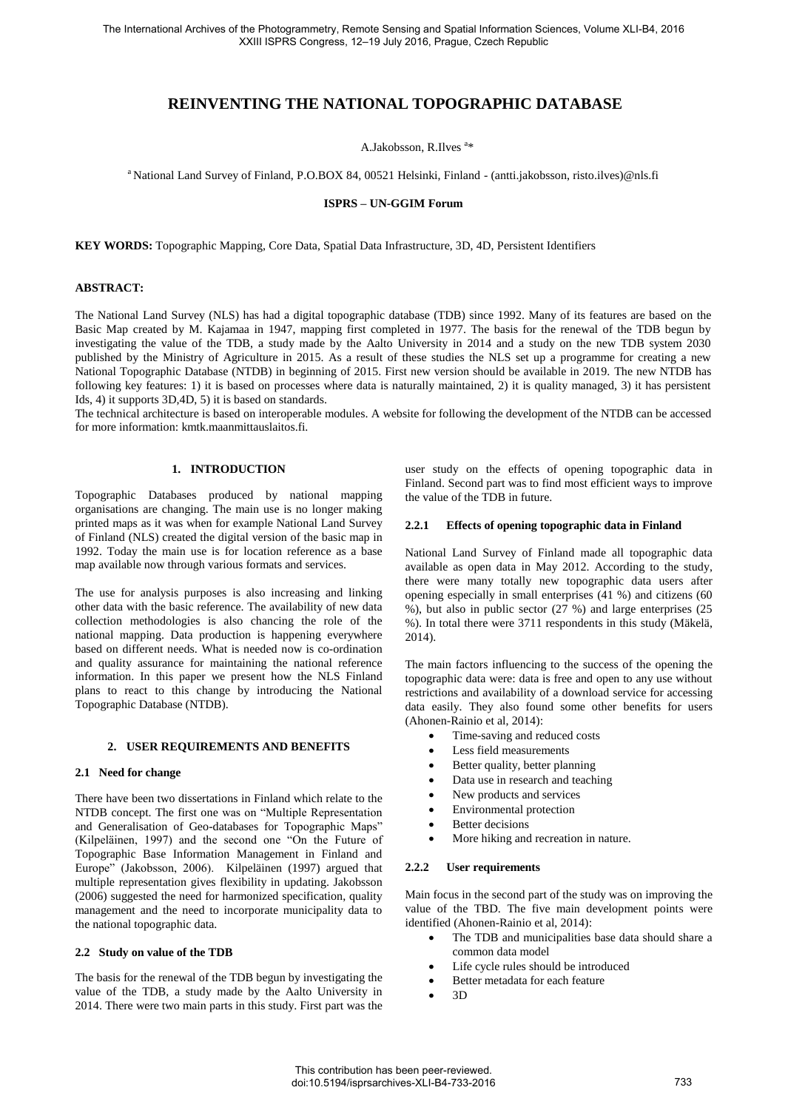# **REINVENTING THE NATIONAL TOPOGRAPHIC DATABASE**

A.Jakobsson, R.Ilves<sup>a\*</sup>

<sup>a</sup>National Land Survey of Finland, P.O.BOX 84, 00521 Helsinki, Finland - (antti.jakobsson, risto.ilves)@nls.fi

#### **ISPRS – UN-GGIM Forum**

**KEY WORDS:** Topographic Mapping, Core Data, Spatial Data Infrastructure, 3D, 4D, Persistent Identifiers

#### **ABSTRACT:**

The National Land Survey (NLS) has had a digital topographic database (TDB) since 1992. Many of its features are based on the Basic Map created by M. Kajamaa in 1947, mapping first completed in 1977. The basis for the renewal of the TDB begun by investigating the value of the TDB, a study made by the Aalto University in 2014 and a study on the new TDB system 2030 published by the Ministry of Agriculture in 2015. As a result of these studies the NLS set up a programme for creating a new National Topographic Database (NTDB) in beginning of 2015. First new version should be available in 2019. The new NTDB has following key features: 1) it is based on processes where data is naturally maintained, 2) it is quality managed, 3) it has persistent Ids, 4) it supports 3D,4D, 5) it is based on standards.

The technical architecture is based on interoperable modules. A website for following the development of the NTDB can be accessed for more information: kmtk.maanmittauslaitos.fi.

#### **1. INTRODUCTION**

Topographic Databases produced by national mapping organisations are changing. The main use is no longer making printed maps as it was when for example National Land Survey of Finland (NLS) created the digital version of the basic map in 1992. Today the main use is for location reference as a base map available now through various formats and services.

The use for analysis purposes is also increasing and linking other data with the basic reference. The availability of new data collection methodologies is also chancing the role of the national mapping. Data production is happening everywhere based on different needs. What is needed now is co-ordination and quality assurance for maintaining the national reference information. In this paper we present how the NLS Finland plans to react to this change by introducing the National Topographic Database (NTDB).

#### **2. USER REQUIREMENTS AND BENEFITS**

#### **2.1 Need for change**

There have been two dissertations in Finland which relate to the NTDB concept. The first one was on "Multiple Representation and Generalisation of Geo-databases for Topographic Maps" (Kilpeläinen, 1997) and the second one "On the Future of Topographic Base Information Management in Finland and Europe" (Jakobsson, 2006). Kilpeläinen (1997) argued that multiple representation gives flexibility in updating. Jakobsson (2006) suggested the need for harmonized specification, quality management and the need to incorporate municipality data to the national topographic data.

#### **2.2 Study on value of the TDB**

The basis for the renewal of the TDB begun by investigating the value of the TDB, a study made by the Aalto University in 2014. There were two main parts in this study. First part was the

user study on the effects of opening topographic data in Finland. Second part was to find most efficient ways to improve the value of the TDB in future.

#### **2.2.1 Effects of opening topographic data in Finland**

National Land Survey of Finland made all topographic data available as open data in May 2012. According to the study, there were many totally new topographic data users after opening especially in small enterprises (41 %) and citizens (60 %), but also in public sector (27 %) and large enterprises (25 %). In total there were 3711 respondents in this study (Mäkelä, 2014).

The main factors influencing to the success of the opening the topographic data were: data is free and open to any use without restrictions and availability of a download service for accessing data easily. They also found some other benefits for users (Ahonen-Rainio et al, 2014):

- Time-saving and reduced costs
- Less field measurements
- Better quality, better planning
- Data use in research and teaching
- New products and services
- Environmental protection
- Better decisions
- More hiking and recreation in nature.

## **2.2.2 User requirements**

Main focus in the second part of the study was on improving the value of the TBD. The five main development points were identified (Ahonen-Rainio et al, 2014):

- The TDB and municipalities base data should share a common data model
- Life cycle rules should be introduced
- Better metadata for each feature
- 3D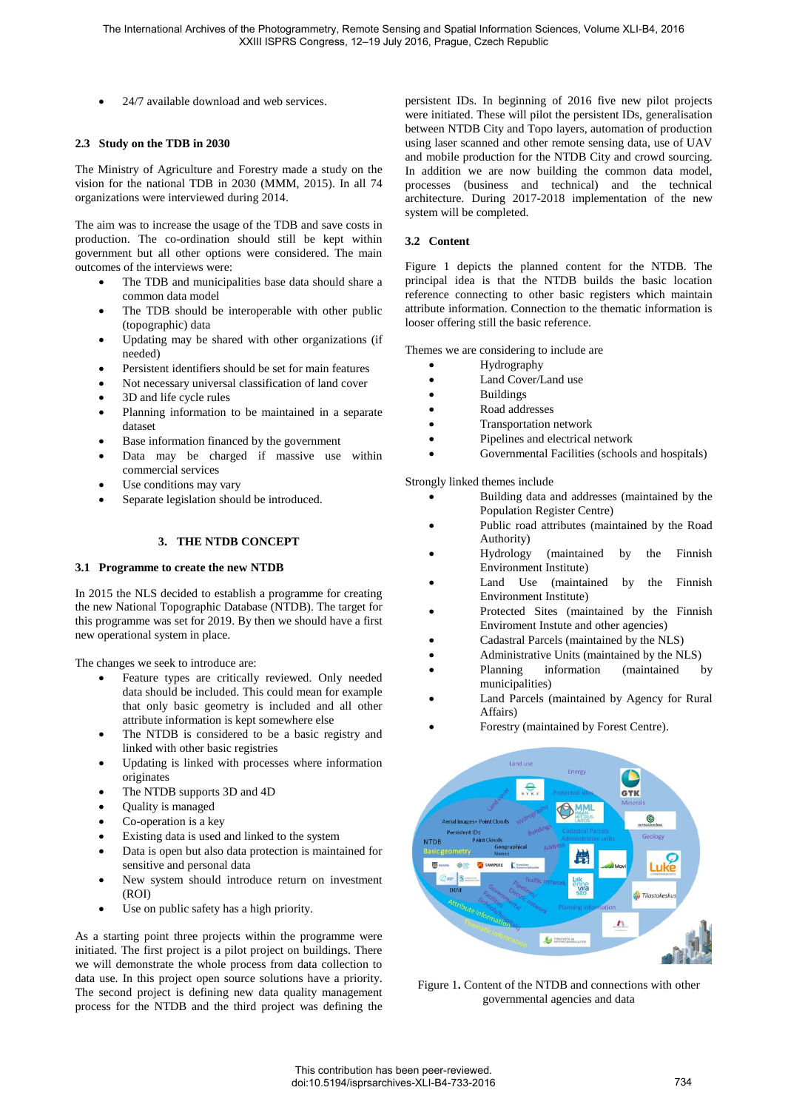24/7 available download and web services.

#### **2.3 Study on the TDB in 2030**

The Ministry of Agriculture and Forestry made a study on the vision for the national TDB in 2030 (MMM, 2015). In all 74 organizations were interviewed during 2014.

The aim was to increase the usage of the TDB and save costs in production. The co-ordination should still be kept within government but all other options were considered. The main outcomes of the interviews were:

- The TDB and municipalities base data should share a common data model
- The TDB should be interoperable with other public (topographic) data
- Updating may be shared with other organizations (if needed)
- Persistent identifiers should be set for main features
- Not necessary universal classification of land cover
- 3D and life cycle rules
- Planning information to be maintained in a separate dataset
- Base information financed by the government
- Data may be charged if massive use within commercial services
- Use conditions may vary
- Separate legislation should be introduced.

# **3. THE NTDB CONCEPT**

## **3.1 Programme to create the new NTDB**

In 2015 the NLS decided to establish a programme for creating the new National Topographic Database (NTDB). The target for this programme was set for 2019. By then we should have a first new operational system in place.

The changes we seek to introduce are:

- Feature types are critically reviewed. Only needed data should be included. This could mean for example that only basic geometry is included and all other attribute information is kept somewhere else
- The NTDB is considered to be a basic registry and linked with other basic registries
- Updating is linked with processes where information originates
- The NTDB supports 3D and 4D
- Quality is managed
- Co-operation is a key
- Existing data is used and linked to the system
- Data is open but also data protection is maintained for sensitive and personal data
- New system should introduce return on investment (ROI)
- Use on public safety has a high priority.

As a starting point three projects within the programme were initiated. The first project is a pilot project on buildings. There we will demonstrate the whole process from data collection to data use. In this project open source solutions have a priority. The second project is defining new data quality management process for the NTDB and the third project was defining the

persistent IDs. In beginning of 2016 five new pilot projects were initiated. These will pilot the persistent IDs, generalisation between NTDB City and Topo layers, automation of production using laser scanned and other remote sensing data, use of UAV and mobile production for the NTDB City and crowd sourcing. In addition we are now building the common data model, processes (business and technical) and the technical architecture. During 2017-2018 implementation of the new system will be completed.

## **3.2 Content**

Figure 1 depicts the planned content for the NTDB. The principal idea is that the NTDB builds the basic location reference connecting to other basic registers which maintain attribute information. Connection to the thematic information is looser offering still the basic reference.

Themes we are considering to include are

- Hydrography
	- Land Cover/Land use
- Buildings
- Road addresses
- Transportation network
- Pipelines and electrical network
- Governmental Facilities (schools and hospitals)

Strongly linked themes include

- Building data and addresses (maintained by the Population Register Centre)
- Public road attributes (maintained by the Road
- Authority)<br>Hydrology (maintained by the Finnish Environment Institute)
- Land Use (maintained by the Finnish Environment Institute)
- Protected Sites (maintained by the Finnish Enviroment Instute and other agencies)
- Cadastral Parcels (maintained by the NLS)
- Administrative Units (maintained by the NLS)
- Planning information (maintained by municipalities)
- Land Parcels (maintained by Agency for Rural Affairs)
- Forestry (maintained by Forest Centre).



Figure 1**.** Content of the NTDB and connections with other governmental agencies and data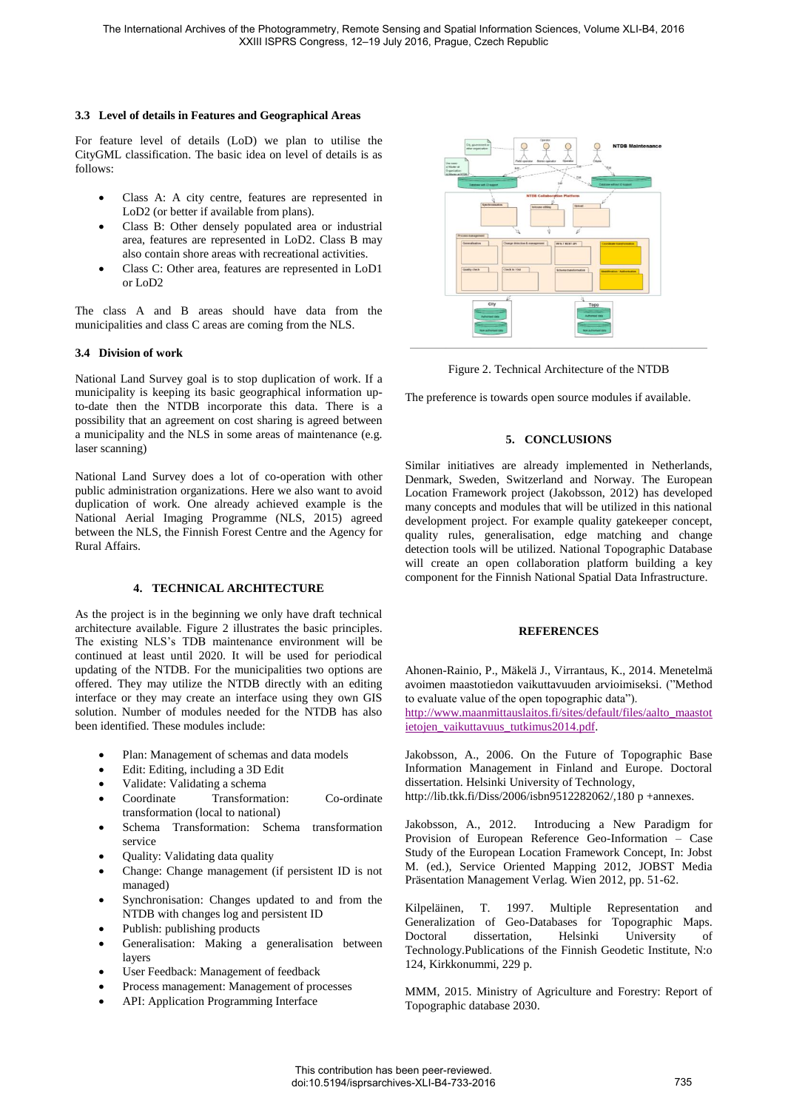#### **3.3 Level of details in Features and Geographical Areas**

For feature level of details (LoD) we plan to utilise the CityGML classification. The basic idea on level of details is as follows:

- Class A: A city centre, features are represented in LoD2 (or better if available from plans).
- Class B: Other densely populated area or industrial area, features are represented in LoD2. Class B may also contain shore areas with recreational activities.
- Class C: Other area, features are represented in LoD1 or LoD2

The class A and B areas should have data from the municipalities and class C areas are coming from the NLS.

## **3.4 Division of work**

National Land Survey goal is to stop duplication of work. If a municipality is keeping its basic geographical information upto-date then the NTDB incorporate this data. There is a possibility that an agreement on cost sharing is agreed between a municipality and the NLS in some areas of maintenance (e.g. laser scanning)

National Land Survey does a lot of co-operation with other public administration organizations. Here we also want to avoid duplication of work. One already achieved example is the National Aerial Imaging Programme (NLS, 2015) agreed between the NLS, the Finnish Forest Centre and the Agency for Rural Affairs.

## **4. TECHNICAL ARCHITECTURE**

As the project is in the beginning we only have draft technical architecture available. Figure 2 illustrates the basic principles. The existing NLS's TDB maintenance environment will be continued at least until 2020. It will be used for periodical updating of the NTDB. For the municipalities two options are offered. They may utilize the NTDB directly with an editing interface or they may create an interface using they own GIS solution. Number of modules needed for the NTDB has also been identified. These modules include:

- Plan: Management of schemas and data models
- Edit: Editing, including a 3D Edit
- Validate: Validating a schema
- Coordinate Transformation: Co-ordinate transformation (local to national)
- Schema Transformation: Schema transformation service
- Quality: Validating data quality
- Change: Change management (if persistent ID is not managed)
- Synchronisation: Changes updated to and from the NTDB with changes log and persistent ID
- Publish: publishing products
- Generalisation: Making a generalisation between layers
- User Feedback: Management of feedback
- Process management: Management of processes
- API: Application Programming Interface



Figure 2. Technical Architecture of the NTDB

The preference is towards open source modules if available.

## **5. CONCLUSIONS**

Similar initiatives are already implemented in Netherlands, Denmark, Sweden, Switzerland and Norway. The European Location Framework project (Jakobsson, 2012) has developed many concepts and modules that will be utilized in this national development project. For example quality gatekeeper concept, quality rules, generalisation, edge matching and change detection tools will be utilized. National Topographic Database will create an open collaboration platform building a key component for the Finnish National Spatial Data Infrastructure.

## **REFERENCES**

Ahonen-Rainio, P., Mäkelä J., Virrantaus, K., 2014. Menetelmä avoimen maastotiedon vaikuttavuuden arvioimiseksi. ("Method to evaluate value of the open topographic data").

[http://www.maanmittauslaitos.fi/sites/default/files/aalto\\_maastot](http://www.maanmittauslaitos.fi/sites/default/files/aalto_maastotietojen_vaikuttavuus_tutkimus2014.pdf) [ietojen\\_vaikuttavuus\\_tutkimus2014.pdf.](http://www.maanmittauslaitos.fi/sites/default/files/aalto_maastotietojen_vaikuttavuus_tutkimus2014.pdf)

Jakobsson, A., 2006. On the Future of Topographic Base Information Management in Finland and Europe. Doctoral dissertation. Helsinki University of Technology, http://lib.tkk.fi/Diss/2006/isbn9512282062/,180 p +annexes.

Jakobsson, A., 2012. Introducing a New Paradigm for Provision of European Reference Geo-Information – Case Study of the European Location Framework Concept, In: Jobst M. (ed.), Service Oriented Mapping 2012, JOBST Media Präsentation Management Verlag. Wien 2012, pp. 51-62.

Kilpeläinen, T. 1997. Multiple Representation and Generalization of Geo-Databases for Topographic Maps. Doctoral dissertation, Helsinki University of Technology.Publications of the Finnish Geodetic Institute, N:o 124, Kirkkonummi, 229 p.

MMM, 2015. Ministry of Agriculture and Forestry: Report of Topographic database 2030.